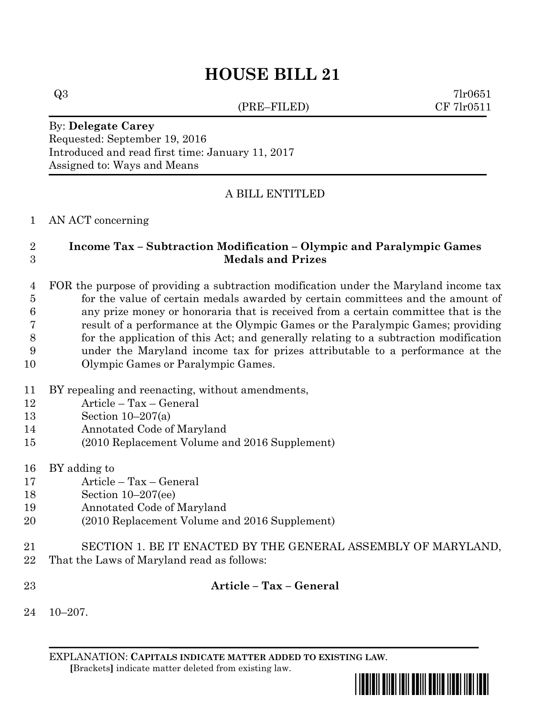# **HOUSE BILL 21**

(PRE–FILED) CF 7lr0511

 $Q3$  7lr0651

By: **Delegate Carey** Requested: September 19, 2016 Introduced and read first time: January 11, 2017 Assigned to: Ways and Means

## A BILL ENTITLED

#### AN ACT concerning

### **Income Tax – Subtraction Modification – Olympic and Paralympic Games Medals and Prizes**

 FOR the purpose of providing a subtraction modification under the Maryland income tax for the value of certain medals awarded by certain committees and the amount of any prize money or honoraria that is received from a certain committee that is the result of a performance at the Olympic Games or the Paralympic Games; providing for the application of this Act; and generally relating to a subtraction modification under the Maryland income tax for prizes attributable to a performance at the Olympic Games or Paralympic Games.

- BY repealing and reenacting, without amendments,
- Article Tax General
- Section 10–207(a)
- Annotated Code of Maryland
- (2010 Replacement Volume and 2016 Supplement)
- BY adding to
- Article Tax General
- Section 10–207(ee)
- Annotated Code of Maryland
- (2010 Replacement Volume and 2016 Supplement)
- SECTION 1. BE IT ENACTED BY THE GENERAL ASSEMBLY OF MARYLAND,
- That the Laws of Maryland read as follows:
- **Article – Tax – General**
- 10–207.

EXPLANATION: **CAPITALS INDICATE MATTER ADDED TO EXISTING LAW**.  **[**Brackets**]** indicate matter deleted from existing law.